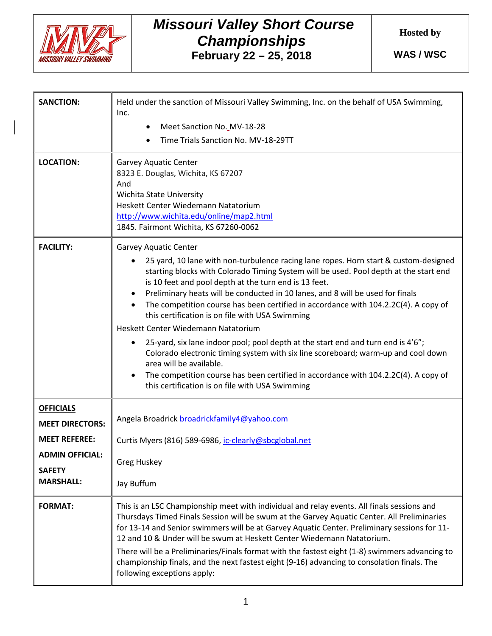

## *Missouri Valley Short Course Championships* **February 22 – 25, 2018**

**Hosted by**

**WAS / WSC**

| <b>SANCTION:</b>                                                                                                                  | Held under the sanction of Missouri Valley Swimming, Inc. on the behalf of USA Swimming,<br>Inc.<br>Meet Sanction No. MV-18-28<br>٠<br>Time Trials Sanction No. MV-18-29TT                                                                                                                                                                                                                                                                                                                                                                                                                                                                                                                                                                                                                                                                                                              |
|-----------------------------------------------------------------------------------------------------------------------------------|-----------------------------------------------------------------------------------------------------------------------------------------------------------------------------------------------------------------------------------------------------------------------------------------------------------------------------------------------------------------------------------------------------------------------------------------------------------------------------------------------------------------------------------------------------------------------------------------------------------------------------------------------------------------------------------------------------------------------------------------------------------------------------------------------------------------------------------------------------------------------------------------|
| <b>LOCATION:</b>                                                                                                                  | <b>Garvey Aquatic Center</b><br>8323 E. Douglas, Wichita, KS 67207<br>And<br>Wichita State University<br>Heskett Center Wiedemann Natatorium<br>http://www.wichita.edu/online/map2.html<br>1845. Fairmont Wichita, KS 67260-0062                                                                                                                                                                                                                                                                                                                                                                                                                                                                                                                                                                                                                                                        |
| <b>FACILITY:</b>                                                                                                                  | <b>Garvey Aquatic Center</b><br>25 yard, 10 lane with non-turbulence racing lane ropes. Horn start & custom-designed<br>starting blocks with Colorado Timing System will be used. Pool depth at the start end<br>is 10 feet and pool depth at the turn end is 13 feet.<br>Preliminary heats will be conducted in 10 lanes, and 8 will be used for finals<br>The competition course has been certified in accordance with 104.2.2C(4). A copy of<br>this certification is on file with USA Swimming<br>Heskett Center Wiedemann Natatorium<br>25-yard, six lane indoor pool; pool depth at the start end and turn end is 4'6";<br>Colorado electronic timing system with six line scoreboard; warm-up and cool down<br>area will be available.<br>The competition course has been certified in accordance with 104.2.2C(4). A copy of<br>this certification is on file with USA Swimming |
| <b>OFFICIALS</b><br><b>MEET DIRECTORS:</b><br><b>MEET REFEREE:</b><br><b>ADMIN OFFICIAL:</b><br><b>SAFETY</b><br><b>MARSHALL:</b> | Angela Broadrick broadrickfamily4@yahoo.com<br>Curtis Myers (816) 589-6986, ic-clearly@sbcglobal.net<br><b>Greg Huskey</b><br>Jay Buffum                                                                                                                                                                                                                                                                                                                                                                                                                                                                                                                                                                                                                                                                                                                                                |
| <b>FORMAT:</b>                                                                                                                    | This is an LSC Championship meet with individual and relay events. All finals sessions and<br>Thursdays Timed Finals Session will be swum at the Garvey Aquatic Center. All Preliminaries<br>for 13-14 and Senior swimmers will be at Garvey Aquatic Center. Preliminary sessions for 11-<br>12 and 10 & Under will be swum at Heskett Center Wiedemann Natatorium.<br>There will be a Preliminaries/Finals format with the fastest eight (1-8) swimmers advancing to<br>championship finals, and the next fastest eight (9-16) advancing to consolation finals. The<br>following exceptions apply:                                                                                                                                                                                                                                                                                     |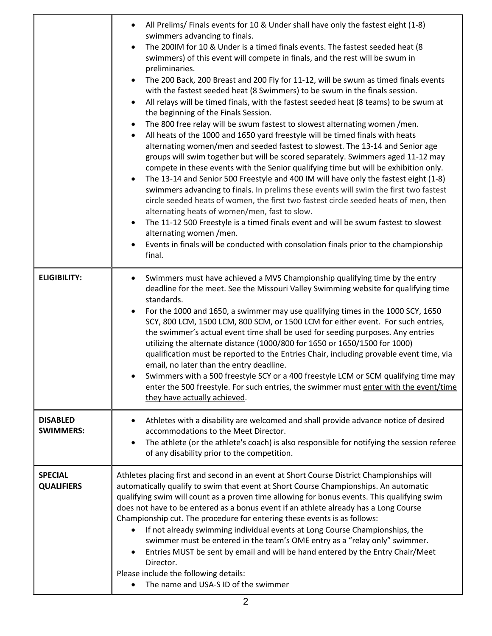|                                     | All Prelims/ Finals events for 10 & Under shall have only the fastest eight (1-8)<br>$\bullet$<br>swimmers advancing to finals.<br>The 200IM for 10 & Under is a timed finals events. The fastest seeded heat (8<br>$\bullet$<br>swimmers) of this event will compete in finals, and the rest will be swum in<br>preliminaries.<br>The 200 Back, 200 Breast and 200 Fly for 11-12, will be swum as timed finals events<br>$\bullet$<br>with the fastest seeded heat (8 Swimmers) to be swum in the finals session.<br>All relays will be timed finals, with the fastest seeded heat (8 teams) to be swum at<br>$\bullet$<br>the beginning of the Finals Session.<br>The 800 free relay will be swum fastest to slowest alternating women /men.<br>$\bullet$<br>All heats of the 1000 and 1650 yard freestyle will be timed finals with heats<br>$\bullet$<br>alternating women/men and seeded fastest to slowest. The 13-14 and Senior age<br>groups will swim together but will be scored separately. Swimmers aged 11-12 may<br>compete in these events with the Senior qualifying time but will be exhibition only.<br>The 13-14 and Senior 500 Freestyle and 400 IM will have only the fastest eight (1-8)<br>$\bullet$<br>swimmers advancing to finals. In prelims these events will swim the first two fastest<br>circle seeded heats of women, the first two fastest circle seeded heats of men, then<br>alternating heats of women/men, fast to slow.<br>The 11-12 500 Freestyle is a timed finals event and will be swum fastest to slowest<br>$\bullet$<br>alternating women /men.<br>Events in finals will be conducted with consolation finals prior to the championship<br>$\bullet$<br>final. |
|-------------------------------------|-------------------------------------------------------------------------------------------------------------------------------------------------------------------------------------------------------------------------------------------------------------------------------------------------------------------------------------------------------------------------------------------------------------------------------------------------------------------------------------------------------------------------------------------------------------------------------------------------------------------------------------------------------------------------------------------------------------------------------------------------------------------------------------------------------------------------------------------------------------------------------------------------------------------------------------------------------------------------------------------------------------------------------------------------------------------------------------------------------------------------------------------------------------------------------------------------------------------------------------------------------------------------------------------------------------------------------------------------------------------------------------------------------------------------------------------------------------------------------------------------------------------------------------------------------------------------------------------------------------------------------------------------------------------------------------------------------------|
| <b>ELIGIBILITY:</b>                 | Swimmers must have achieved a MVS Championship qualifying time by the entry<br>$\bullet$<br>deadline for the meet. See the Missouri Valley Swimming website for qualifying time<br>standards.<br>For the 1000 and 1650, a swimmer may use qualifying times in the 1000 SCY, 1650<br>$\bullet$<br>SCY, 800 LCM, 1500 LCM, 800 SCM, or 1500 LCM for either event. For such entries,<br>the swimmer's actual event time shall be used for seeding purposes. Any entries<br>utilizing the alternate distance (1000/800 for 1650 or 1650/1500 for 1000)<br>qualification must be reported to the Entries Chair, including provable event time, via<br>email, no later than the entry deadline.<br>Swimmers with a 500 freestyle SCY or a 400 freestyle LCM or SCM qualifying time may<br>enter the 500 freestyle. For such entries, the swimmer must enter with the event/time<br>they have actually achieved.                                                                                                                                                                                                                                                                                                                                                                                                                                                                                                                                                                                                                                                                                                                                                                                                   |
| <b>DISABLED</b><br><b>SWIMMERS:</b> | Athletes with a disability are welcomed and shall provide advance notice of desired<br>$\bullet$<br>accommodations to the Meet Director.<br>The athlete (or the athlete's coach) is also responsible for notifying the session referee<br>$\bullet$<br>of any disability prior to the competition.                                                                                                                                                                                                                                                                                                                                                                                                                                                                                                                                                                                                                                                                                                                                                                                                                                                                                                                                                                                                                                                                                                                                                                                                                                                                                                                                                                                                          |
| <b>SPECIAL</b><br><b>QUALIFIERS</b> | Athletes placing first and second in an event at Short Course District Championships will<br>automatically qualify to swim that event at Short Course Championships. An automatic<br>qualifying swim will count as a proven time allowing for bonus events. This qualifying swim<br>does not have to be entered as a bonus event if an athlete already has a Long Course<br>Championship cut. The procedure for entering these events is as follows:<br>If not already swimming individual events at Long Course Championships, the<br>$\bullet$<br>swimmer must be entered in the team's OME entry as a "relay only" swimmer.<br>Entries MUST be sent by email and will be hand entered by the Entry Chair/Meet<br>$\bullet$<br>Director.<br>Please include the following details:<br>The name and USA-S ID of the swimmer                                                                                                                                                                                                                                                                                                                                                                                                                                                                                                                                                                                                                                                                                                                                                                                                                                                                                 |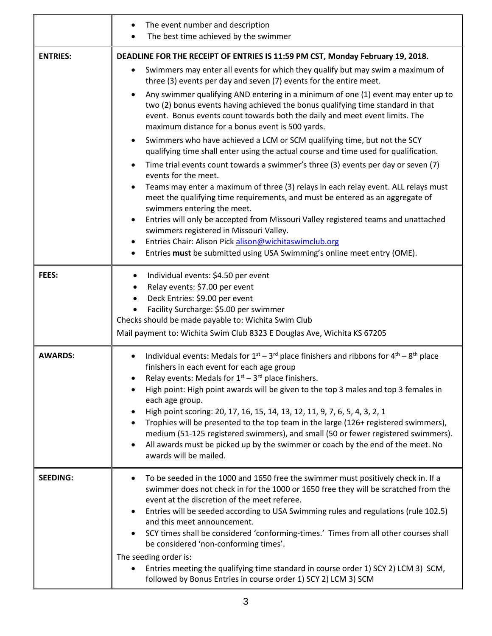|                 | The event number and description<br>The best time achieved by the swimmer                                                                                                                                                                                                                                                                                                                                                                                                                                                                                                                                                                                                                                                                                                                                                                                                                                                                                                                                                                                                                                                                                                                                                                                                                                                                                                                                     |  |  |  |  |  |
|-----------------|---------------------------------------------------------------------------------------------------------------------------------------------------------------------------------------------------------------------------------------------------------------------------------------------------------------------------------------------------------------------------------------------------------------------------------------------------------------------------------------------------------------------------------------------------------------------------------------------------------------------------------------------------------------------------------------------------------------------------------------------------------------------------------------------------------------------------------------------------------------------------------------------------------------------------------------------------------------------------------------------------------------------------------------------------------------------------------------------------------------------------------------------------------------------------------------------------------------------------------------------------------------------------------------------------------------------------------------------------------------------------------------------------------------|--|--|--|--|--|
| <b>ENTRIES:</b> | DEADLINE FOR THE RECEIPT OF ENTRIES IS 11:59 PM CST, Monday February 19, 2018.<br>Swimmers may enter all events for which they qualify but may swim a maximum of<br>$\bullet$<br>three (3) events per day and seven (7) events for the entire meet.<br>Any swimmer qualifying AND entering in a minimum of one (1) event may enter up to<br>$\bullet$<br>two (2) bonus events having achieved the bonus qualifying time standard in that<br>event. Bonus events count towards both the daily and meet event limits. The<br>maximum distance for a bonus event is 500 yards.<br>Swimmers who have achieved a LCM or SCM qualifying time, but not the SCY<br>$\bullet$<br>qualifying time shall enter using the actual course and time used for qualification.<br>Time trial events count towards a swimmer's three (3) events per day or seven (7)<br>$\bullet$<br>events for the meet.<br>Teams may enter a maximum of three (3) relays in each relay event. ALL relays must<br>$\bullet$<br>meet the qualifying time requirements, and must be entered as an aggregate of<br>swimmers entering the meet.<br>Entries will only be accepted from Missouri Valley registered teams and unattached<br>$\bullet$<br>swimmers registered in Missouri Valley.<br>Entries Chair: Alison Pick alison@wichitaswimclub.org<br>٠<br>Entries must be submitted using USA Swimming's online meet entry (OME).<br>$\bullet$ |  |  |  |  |  |
| <b>FEES:</b>    | Individual events: \$4.50 per event<br>Relay events: \$7.00 per event<br>Deck Entries: \$9.00 per event<br>Facility Surcharge: \$5.00 per swimmer<br>Checks should be made payable to: Wichita Swim Club<br>Mail payment to: Wichita Swim Club 8323 E Douglas Ave, Wichita KS 67205                                                                                                                                                                                                                                                                                                                                                                                                                                                                                                                                                                                                                                                                                                                                                                                                                                                                                                                                                                                                                                                                                                                           |  |  |  |  |  |
| <b>AWARDS:</b>  | Individual events: Medals for $1^{st} - 3^{rd}$ place finishers and ribbons for $4^{th} - 8^{th}$ place<br>$\bullet$<br>finishers in each event for each age group<br>Relay events: Medals for $1st - 3rd$ place finishers.<br>٠<br>High point: High point awards will be given to the top 3 males and top 3 females in<br>each age group.<br>High point scoring: 20, 17, 16, 15, 14, 13, 12, 11, 9, 7, 6, 5, 4, 3, 2, 1<br>٠<br>Trophies will be presented to the top team in the large (126+ registered swimmers),<br>$\bullet$<br>medium (51-125 registered swimmers), and small (50 or fewer registered swimmers).<br>All awards must be picked up by the swimmer or coach by the end of the meet. No<br>$\bullet$<br>awards will be mailed.                                                                                                                                                                                                                                                                                                                                                                                                                                                                                                                                                                                                                                                              |  |  |  |  |  |
| <b>SEEDING:</b> | To be seeded in the 1000 and 1650 free the swimmer must positively check in. If a<br>$\bullet$<br>swimmer does not check in for the 1000 or 1650 free they will be scratched from the<br>event at the discretion of the meet referee.<br>Entries will be seeded according to USA Swimming rules and regulations (rule 102.5)<br>٠<br>and this meet announcement.<br>SCY times shall be considered 'conforming-times.' Times from all other courses shall<br>$\bullet$<br>be considered 'non-conforming times'.<br>The seeding order is:<br>Entries meeting the qualifying time standard in course order 1) SCY 2) LCM 3) SCM,<br>٠<br>followed by Bonus Entries in course order 1) SCY 2) LCM 3) SCM                                                                                                                                                                                                                                                                                                                                                                                                                                                                                                                                                                                                                                                                                                          |  |  |  |  |  |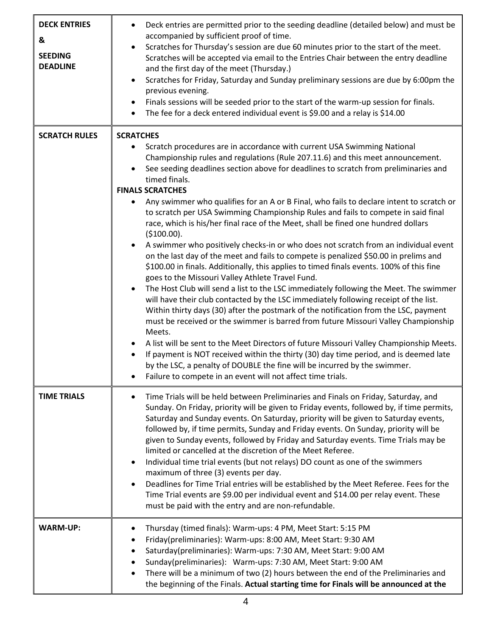| <b>DECK ENTRIES</b><br>&<br><b>SEEDING</b><br><b>DEADLINE</b> | Deck entries are permitted prior to the seeding deadline (detailed below) and must be<br>$\bullet$<br>accompanied by sufficient proof of time.<br>Scratches for Thursday's session are due 60 minutes prior to the start of the meet.<br>$\bullet$<br>Scratches will be accepted via email to the Entries Chair between the entry deadline<br>and the first day of the meet (Thursday.)<br>Scratches for Friday, Saturday and Sunday preliminary sessions are due by 6:00pm the<br>$\bullet$<br>previous evening.<br>Finals sessions will be seeded prior to the start of the warm-up session for finals.<br>$\bullet$<br>The fee for a deck entered individual event is \$9.00 and a relay is \$14.00<br>$\bullet$                                                                                                                                                                                                                                                                                                                                                                                                                                                                                                                                                                                                                                              |
|---------------------------------------------------------------|------------------------------------------------------------------------------------------------------------------------------------------------------------------------------------------------------------------------------------------------------------------------------------------------------------------------------------------------------------------------------------------------------------------------------------------------------------------------------------------------------------------------------------------------------------------------------------------------------------------------------------------------------------------------------------------------------------------------------------------------------------------------------------------------------------------------------------------------------------------------------------------------------------------------------------------------------------------------------------------------------------------------------------------------------------------------------------------------------------------------------------------------------------------------------------------------------------------------------------------------------------------------------------------------------------------------------------------------------------------|
| <b>SCRATCH RULES</b>                                          | <b>SCRATCHES</b><br>Scratch procedures are in accordance with current USA Swimming National<br>$\bullet$<br>Championship rules and regulations (Rule 207.11.6) and this meet announcement.<br>See seeding deadlines section above for deadlines to scratch from preliminaries and<br>timed finals.<br><b>FINALS SCRATCHES</b>                                                                                                                                                                                                                                                                                                                                                                                                                                                                                                                                                                                                                                                                                                                                                                                                                                                                                                                                                                                                                                    |
|                                                               | Any swimmer who qualifies for an A or B Final, who fails to declare intent to scratch or<br>to scratch per USA Swimming Championship Rules and fails to compete in said final<br>race, which is his/her final race of the Meet, shall be fined one hundred dollars<br>(\$100.00).<br>A swimmer who positively checks-in or who does not scratch from an individual event<br>on the last day of the meet and fails to compete is penalized \$50.00 in prelims and<br>\$100.00 in finals. Additionally, this applies to timed finals events. 100% of this fine<br>goes to the Missouri Valley Athlete Travel Fund.<br>The Host Club will send a list to the LSC immediately following the Meet. The swimmer<br>$\bullet$<br>will have their club contacted by the LSC immediately following receipt of the list.<br>Within thirty days (30) after the postmark of the notification from the LSC, payment<br>must be received or the swimmer is barred from future Missouri Valley Championship<br>Meets.<br>A list will be sent to the Meet Directors of future Missouri Valley Championship Meets.<br>$\bullet$<br>If payment is NOT received within the thirty (30) day time period, and is deemed late<br>$\bullet$<br>by the LSC, a penalty of DOUBLE the fine will be incurred by the swimmer.<br>Failure to compete in an event will not affect time trials. |
| <b>TIME TRIALS</b>                                            | Time Trials will be held between Preliminaries and Finals on Friday, Saturday, and<br>$\bullet$<br>Sunday. On Friday, priority will be given to Friday events, followed by, if time permits,<br>Saturday and Sunday events. On Saturday, priority will be given to Saturday events,<br>followed by, if time permits, Sunday and Friday events. On Sunday, priority will be<br>given to Sunday events, followed by Friday and Saturday events. Time Trials may be<br>limited or cancelled at the discretion of the Meet Referee.<br>Individual time trial events (but not relays) DO count as one of the swimmers<br>$\bullet$<br>maximum of three (3) events per day.<br>Deadlines for Time Trial entries will be established by the Meet Referee. Fees for the<br>$\bullet$<br>Time Trial events are \$9.00 per individual event and \$14.00 per relay event. These<br>must be paid with the entry and are non-refundable.                                                                                                                                                                                                                                                                                                                                                                                                                                      |
| <b>WARM-UP:</b>                                               | Thursday (timed finals): Warm-ups: 4 PM, Meet Start: 5:15 PM<br>٠<br>Friday(preliminaries): Warm-ups: 8:00 AM, Meet Start: 9:30 AM<br>$\bullet$<br>Saturday(preliminaries): Warm-ups: 7:30 AM, Meet Start: 9:00 AM<br>Sunday(preliminaries): Warm-ups: 7:30 AM, Meet Start: 9:00 AM<br>There will be a minimum of two (2) hours between the end of the Preliminaries and<br>the beginning of the Finals. Actual starting time for Finals will be announced at the                                                                                                                                                                                                                                                                                                                                                                                                                                                                                                                                                                                                                                                                                                                                                                                                                                                                                                |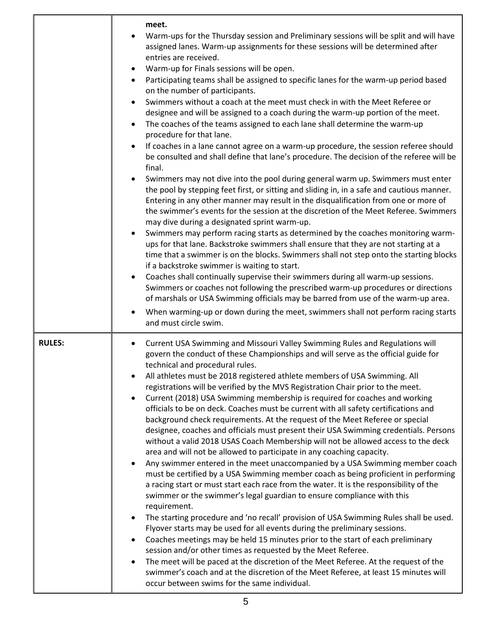|               | meet.<br>Warm-ups for the Thursday session and Preliminary sessions will be split and will have<br>assigned lanes. Warm-up assignments for these sessions will be determined after<br>entries are received.<br>Warm-up for Finals sessions will be open.<br>$\bullet$<br>Participating teams shall be assigned to specific lanes for the warm-up period based<br>$\bullet$<br>on the number of participants.<br>Swimmers without a coach at the meet must check in with the Meet Referee or<br>$\bullet$<br>designee and will be assigned to a coach during the warm-up portion of the meet.<br>The coaches of the teams assigned to each lane shall determine the warm-up<br>$\bullet$<br>procedure for that lane.<br>If coaches in a lane cannot agree on a warm-up procedure, the session referee should<br>$\bullet$<br>be consulted and shall define that lane's procedure. The decision of the referee will be<br>final.<br>Swimmers may not dive into the pool during general warm up. Swimmers must enter<br>$\bullet$<br>the pool by stepping feet first, or sitting and sliding in, in a safe and cautious manner.<br>Entering in any other manner may result in the disqualification from one or more of<br>the swimmer's events for the session at the discretion of the Meet Referee. Swimmers<br>may dive during a designated sprint warm-up.<br>Swimmers may perform racing starts as determined by the coaches monitoring warm-<br>$\bullet$<br>ups for that lane. Backstroke swimmers shall ensure that they are not starting at a<br>time that a swimmer is on the blocks. Swimmers shall not step onto the starting blocks<br>if a backstroke swimmer is waiting to start.<br>Coaches shall continually supervise their swimmers during all warm-up sessions.<br>$\bullet$<br>Swimmers or coaches not following the prescribed warm-up procedures or directions<br>of marshals or USA Swimming officials may be barred from use of the warm-up area.<br>When warming-up or down during the meet, swimmers shall not perform racing starts<br>$\bullet$<br>and must circle swim. |
|---------------|----------------------------------------------------------------------------------------------------------------------------------------------------------------------------------------------------------------------------------------------------------------------------------------------------------------------------------------------------------------------------------------------------------------------------------------------------------------------------------------------------------------------------------------------------------------------------------------------------------------------------------------------------------------------------------------------------------------------------------------------------------------------------------------------------------------------------------------------------------------------------------------------------------------------------------------------------------------------------------------------------------------------------------------------------------------------------------------------------------------------------------------------------------------------------------------------------------------------------------------------------------------------------------------------------------------------------------------------------------------------------------------------------------------------------------------------------------------------------------------------------------------------------------------------------------------------------------------------------------------------------------------------------------------------------------------------------------------------------------------------------------------------------------------------------------------------------------------------------------------------------------------------------------------------------------------------------------------------------------------------------------------------------------------------------------------------------------------------------|
| <b>RULES:</b> | Current USA Swimming and Missouri Valley Swimming Rules and Regulations will<br>$\bullet$<br>govern the conduct of these Championships and will serve as the official guide for<br>technical and procedural rules.<br>All athletes must be 2018 registered athlete members of USA Swimming. All<br>$\bullet$<br>registrations will be verified by the MVS Registration Chair prior to the meet.<br>Current (2018) USA Swimming membership is required for coaches and working<br>$\bullet$<br>officials to be on deck. Coaches must be current with all safety certifications and<br>background check requirements. At the request of the Meet Referee or special<br>designee, coaches and officials must present their USA Swimming credentials. Persons<br>without a valid 2018 USAS Coach Membership will not be allowed access to the deck<br>area and will not be allowed to participate in any coaching capacity.<br>Any swimmer entered in the meet unaccompanied by a USA Swimming member coach<br>$\bullet$<br>must be certified by a USA Swimming member coach as being proficient in performing<br>a racing start or must start each race from the water. It is the responsibility of the<br>swimmer or the swimmer's legal guardian to ensure compliance with this<br>requirement.<br>The starting procedure and 'no recall' provision of USA Swimming Rules shall be used.<br>$\bullet$<br>Flyover starts may be used for all events during the preliminary sessions.<br>Coaches meetings may be held 15 minutes prior to the start of each preliminary<br>$\bullet$<br>session and/or other times as requested by the Meet Referee.<br>The meet will be paced at the discretion of the Meet Referee. At the request of the<br>$\bullet$<br>swimmer's coach and at the discretion of the Meet Referee, at least 15 minutes will<br>occur between swims for the same individual.                                                                                                                                                                                                       |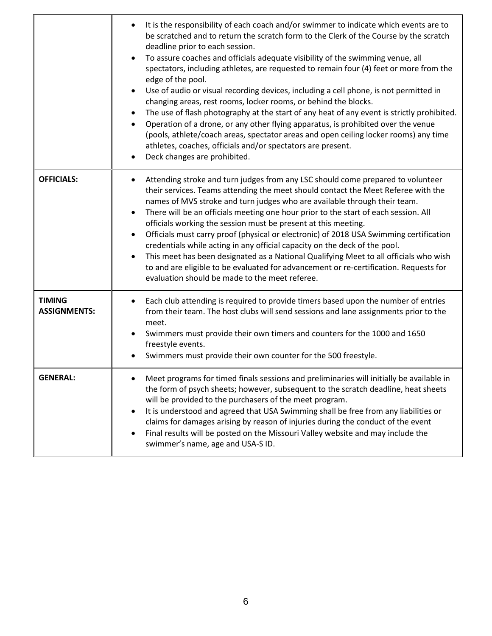|                                      | It is the responsibility of each coach and/or swimmer to indicate which events are to<br>$\bullet$<br>be scratched and to return the scratch form to the Clerk of the Course by the scratch<br>deadline prior to each session.<br>To assure coaches and officials adequate visibility of the swimming venue, all<br>$\bullet$<br>spectators, including athletes, are requested to remain four (4) feet or more from the<br>edge of the pool.<br>Use of audio or visual recording devices, including a cell phone, is not permitted in<br>$\bullet$<br>changing areas, rest rooms, locker rooms, or behind the blocks.<br>The use of flash photography at the start of any heat of any event is strictly prohibited.<br>٠<br>Operation of a drone, or any other flying apparatus, is prohibited over the venue<br>$\bullet$<br>(pools, athlete/coach areas, spectator areas and open ceiling locker rooms) any time<br>athletes, coaches, officials and/or spectators are present.<br>Deck changes are prohibited.<br>$\bullet$ |
|--------------------------------------|--------------------------------------------------------------------------------------------------------------------------------------------------------------------------------------------------------------------------------------------------------------------------------------------------------------------------------------------------------------------------------------------------------------------------------------------------------------------------------------------------------------------------------------------------------------------------------------------------------------------------------------------------------------------------------------------------------------------------------------------------------------------------------------------------------------------------------------------------------------------------------------------------------------------------------------------------------------------------------------------------------------------------------|
| <b>OFFICIALS:</b>                    | Attending stroke and turn judges from any LSC should come prepared to volunteer<br>٠<br>their services. Teams attending the meet should contact the Meet Referee with the<br>names of MVS stroke and turn judges who are available through their team.<br>There will be an officials meeting one hour prior to the start of each session. All<br>$\bullet$<br>officials working the session must be present at this meeting.<br>Officials must carry proof (physical or electronic) of 2018 USA Swimming certification<br>$\bullet$<br>credentials while acting in any official capacity on the deck of the pool.<br>This meet has been designated as a National Qualifying Meet to all officials who wish<br>$\bullet$<br>to and are eligible to be evaluated for advancement or re-certification. Requests for<br>evaluation should be made to the meet referee.                                                                                                                                                             |
| <b>TIMING</b><br><b>ASSIGNMENTS:</b> | Each club attending is required to provide timers based upon the number of entries<br>$\bullet$<br>from their team. The host clubs will send sessions and lane assignments prior to the<br>meet.<br>Swimmers must provide their own timers and counters for the 1000 and 1650<br>٠<br>freestyle events.<br>Swimmers must provide their own counter for the 500 freestyle.                                                                                                                                                                                                                                                                                                                                                                                                                                                                                                                                                                                                                                                      |
| <b>GENERAL:</b>                      | Meet programs for timed finals sessions and preliminaries will initially be available in<br>the form of psych sheets; however, subsequent to the scratch deadline, heat sheets<br>will be provided to the purchasers of the meet program.<br>It is understood and agreed that USA Swimming shall be free from any liabilities or<br>$\bullet$<br>claims for damages arising by reason of injuries during the conduct of the event<br>Final results will be posted on the Missouri Valley website and may include the<br>swimmer's name, age and USA-S ID.                                                                                                                                                                                                                                                                                                                                                                                                                                                                      |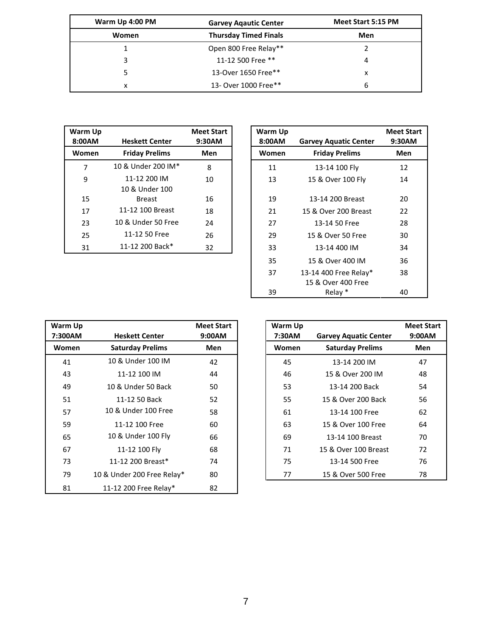| Warm Up 4:00 PM | <b>Garvey Aqautic Center</b> | Meet Start 5:15 PM |
|-----------------|------------------------------|--------------------|
| Women           | <b>Thursday Timed Finals</b> | Men                |
|                 | Open 800 Free Relay**        |                    |
| 3               | 11-12 500 Free **            | 4                  |
|                 | 13-Over 1650 Free**          | x                  |
| x               | 13- Over 1000 Free**         | 6                  |

| Warm Up<br>8:00AM | <b>Heskett Center</b> | <b>Meet Start</b><br>9:30AM |
|-------------------|-----------------------|-----------------------------|
| Women             | <b>Friday Prelims</b> | Men                         |
| 7                 | 10 & Under 200 IM*    | 8                           |
| 9                 | 11-12 200 IM          | 10                          |
|                   | 10 & Under 100        |                             |
| 15                | <b>Breast</b>         | 16                          |
| 17                | 11-12 100 Breast      | 18                          |
| 23                | 10 & Under 50 Free    | 24                          |
| 25                | 11-12 50 Free         | 26                          |
| 31                | 11-12 200 Back*       | 32                          |

| Varm Up<br>8:00AM | <b>Heskett Center</b>          | <b>Meet Start</b><br>9:30AM | Warm Up<br>8:00AM | <b>Garvey Aquatic Center</b>                | <b>Meet Start</b><br>9:30AM |
|-------------------|--------------------------------|-----------------------------|-------------------|---------------------------------------------|-----------------------------|
| Women             | <b>Friday Prelims</b>          | Men                         | Women             | <b>Friday Prelims</b>                       | <b>Men</b>                  |
| 7                 | 10 & Under 200 IM*             | 8                           | 11                | 13-14 100 Fly                               | 12                          |
| 9                 | 11-12 200 IM<br>10 & Under 100 | 10                          | 13                | 15 & Over 100 Fly                           | 14                          |
| 15                | <b>Breast</b>                  | 16                          | 19                | 13-14 200 Breast                            | 20                          |
| 17                | 11-12 100 Breast               | 18                          | 21                | 15 & Over 200 Breast                        | 22                          |
| 23                | 10 & Under 50 Free             | 24                          | 27                | 13-14 50 Free                               | 28                          |
| 25                | 11-12 50 Free                  | 26                          | 29                | 15 & Over 50 Free                           | 30                          |
| 31                | 11-12 200 Back*                | 32                          | 33                | 13-14 400 IM                                | 34                          |
|                   |                                |                             | 35                | 15 & Over 400 IM                            | 36                          |
|                   |                                |                             | 37                | 13-14 400 Free Relay*<br>15 & Over 400 Free | 38                          |
|                   |                                |                             | 39                | Relay *                                     | 40                          |

| Warm Up<br>7:300AM | <b>Heskett Center</b>      | <b>Meet Start</b><br>9:00AM | Warm Up<br>7:30AM | <b>Garvey Aquatic Center</b> | <b>Meet St</b><br>9:00A |
|--------------------|----------------------------|-----------------------------|-------------------|------------------------------|-------------------------|
| Women              | <b>Saturday Prelims</b>    | <b>Men</b>                  | Women             | <b>Saturday Prelims</b>      | Men                     |
| 41                 | 10 & Under 100 IM          | 42                          | 45                | 13-14 200 IM                 | 47                      |
| 43                 | 11-12 100 IM               | 44                          | 46                | 15 & Over 200 IM             | 48                      |
| 49                 | 10 & Under 50 Back         | 50                          | 53                | 13-14 200 Back               | 54                      |
| 51                 | 11-12 50 Back              | 52                          | 55                | 15 & Over 200 Back           | 56                      |
| 57                 | 10 & Under 100 Free        | 58                          | 61                | 13-14 100 Free               | 62                      |
| 59                 | 11-12 100 Free             | 60                          | 63                | 15 & Over 100 Free           | 64                      |
| 65                 | 10 & Under 100 Fly         | 66                          | 69                | 13-14 100 Breast             | 70                      |
| 67                 | 11-12 100 Fly              | 68                          | 71                | 15 & Over 100 Breast         | 72                      |
| 73                 | 11-12 200 Breast*          | 74                          | 75                | 13-14 500 Free               | 76                      |
| 79                 | 10 & Under 200 Free Relay* | 80                          | 77                | 15 & Over 500 Free           | 78                      |
| 81                 | 11-12 200 Free Relay*      | 82                          |                   |                              |                         |

| Warm Up<br>7:30AM | <b>Garvey Aquatic Center</b> | <b>Meet Start</b><br>9:00AM |
|-------------------|------------------------------|-----------------------------|
| Women             | <b>Saturday Prelims</b>      | Men                         |
| 45                | 13-14 200 IM                 | 47                          |
| 46                | 15 & Over 200 IM             | 48                          |
| 53                | 13-14 200 Back               | 54                          |
| 55                | 15 & Over 200 Back           | 56                          |
| 61                | 13-14 100 Free               | 62                          |
| 63                | 15 & Over 100 Free           | 64                          |
| 69                | 13-14 100 Breast             | 70                          |
| 71                | 15 & Over 100 Breast         | 72                          |
| 75                | 13-14 500 Free               | 76                          |
| 77                | 15 & Over 500 Free           | 78                          |